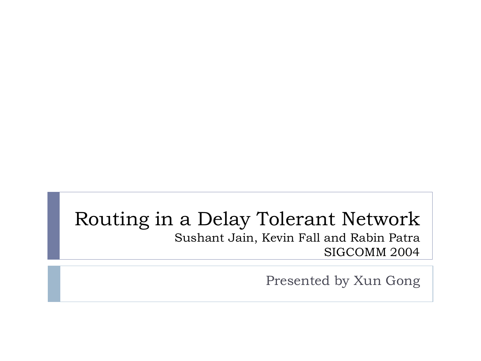#### Routing in a Delay Tolerant Network Sushant Jain, Kevin Fall and Rabin Patra SIGCOMM 2004

Presented by Xun Gong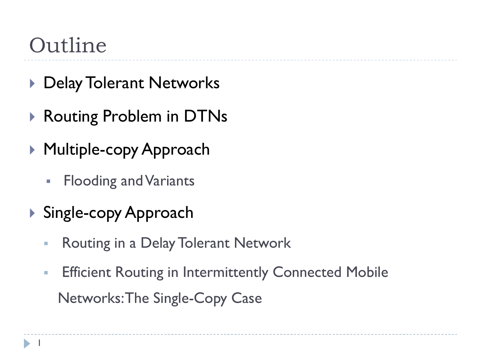# Outline

- ▶ Delay Tolerant Networks
- ▶ Routing Problem in DTNs
- ▶ Multiple-copy Approach
	- **Flooding and Variants**
- ▶ Single-copy Approach
	- **Routing in a Delay Tolerant Network**
	- **Efficient Routing in Intermittently Connected Mobile** Networks: The Single-Copy Case

1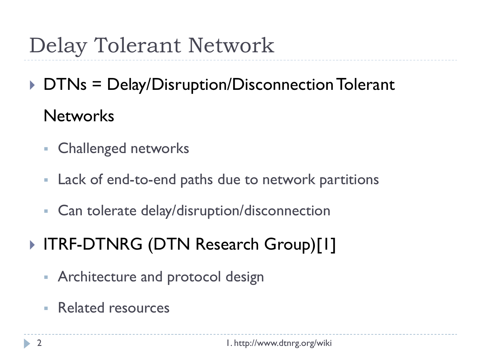### Delay Tolerant Network

▶ DTNs = Delay/Disruption/Disconnection Tolerant **Networks** 

- **Exercise Challenged networks**
- Lack of end-to-end paths due to network partitions
- Can tolerate delay/disruption/disconnection

#### ▶ ITRF-DTNRG (DTN Research Group)[1]

- **Architecture and protocol designers**
- **Related resources**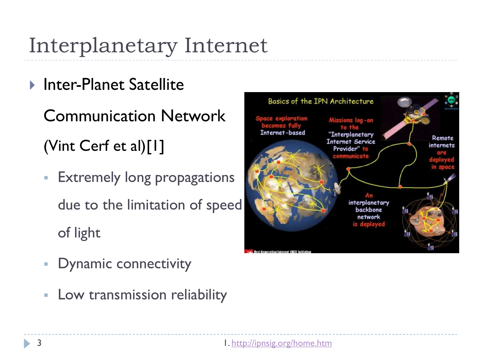# Interplanetary Internet

- ▶ Inter-Planet Satellite
	- Communication Network (Vint Cerf et al)[1]
	- Extremely long propagations due to the limitation of speed of light
	- **-** Dynamic connectivity
	- **EXEC** Low transmission reliability

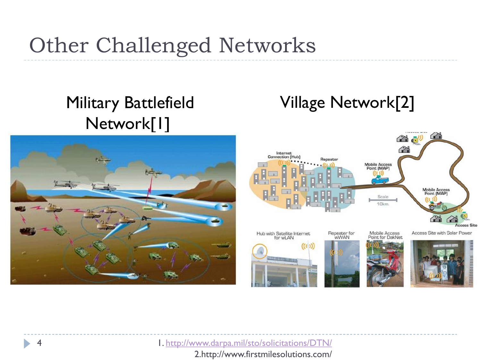### Other Challenged Networks

#### Military Battlefield Network<sup>[1]</sup>



#### Village Network[2]



1.<http://www.darpa.mil/sto/solicitations/DTN/>

2.http://www.firstmilesolutions.com/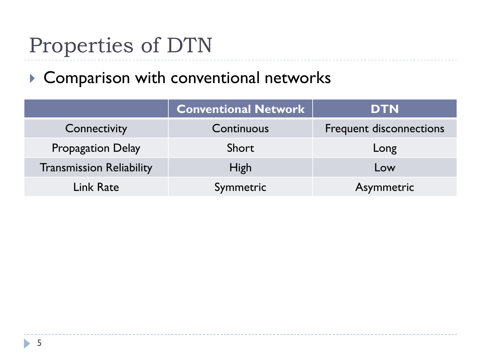# Properties of DTN

#### ▶ Comparison with conventional networks

|                                 | <b>Conventional Network</b> | <b>DTN</b>                     |
|---------------------------------|-----------------------------|--------------------------------|
| Connectivity                    | Continuous                  | <b>Frequent disconnections</b> |
| <b>Propagation Delay</b>        | Short                       | Long                           |
| <b>Transmission Reliability</b> | <b>High</b>                 | Low                            |
| Link Rate                       | Symmetric                   | Asymmetric                     |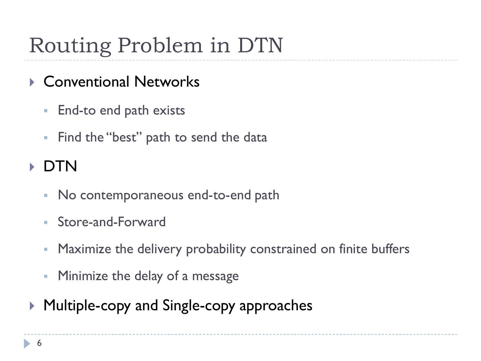# Routing Problem in DTN

- ▶ Conventional Networks
	- **End-to end path exists**
	- **Find the "best" path to send the data**
- DTN
	- No contemporaneous end-to-end path
	- Store-and-Forward
	- Maximize the delivery probability constrained on finite buffers
	- **Minimize the delay of a message**
- ▶ Multiple-copy and Single-copy approaches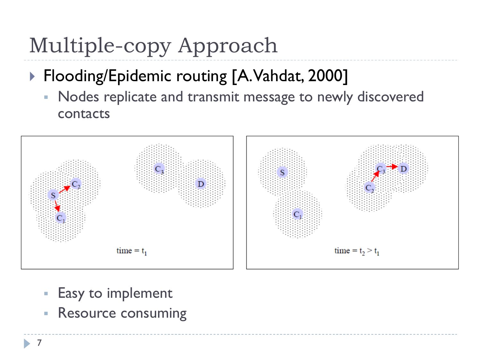# Multiple-copy Approach

- ▶ Flooding/Epidemic routing [A. Vahdat, 2000]
	- Nodes replicate and transmit message to newly discovered contacts



- Easy to implement
- **Resource consuming**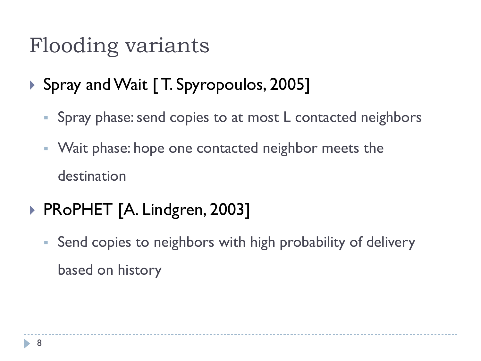# Flooding variants

- ▶ Spray and Wait [T. Spyropoulos, 2005]
	- Spray phase: send copies to at most L contacted neighbors
	- **Wait phase: hope one contacted neighbor meets the** destination
- ▶ PRoPHET [A. Lindgren, 2003]
	- Send copies to neighbors with high probability of delivery based on history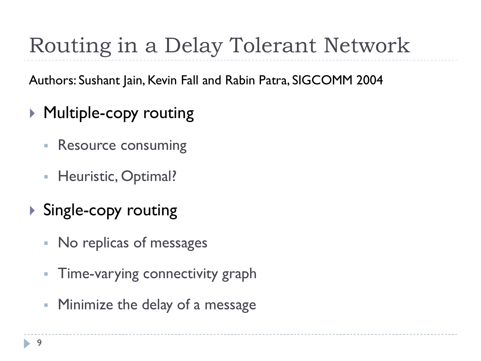# Routing in a Delay Tolerant Network

Authors: Sushant Jain, Kevin Fall and Rabin Patra, SIGCOMM 2004

- ▶ Multiple-copy routing
	- **Resource consuming**
	- **Heuristic, Optimal?**
- ▶ Single-copy routing
	- No replicas of messages
	- Time-varying connectivity graph
	- **Minimize the delay of a message**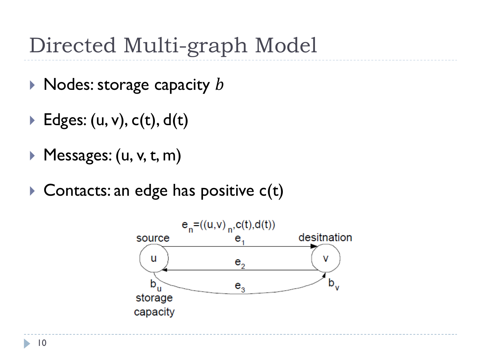### Directed Multi-graph Model

- $\triangleright$  Nodes: storage capacity  $b$
- $\blacktriangleright$  Edges: (u, v), c(t), d(t)
- ▶ Messages: (u, v, t, m)
- $\triangleright$  Contacts: an edge has positive c(t)

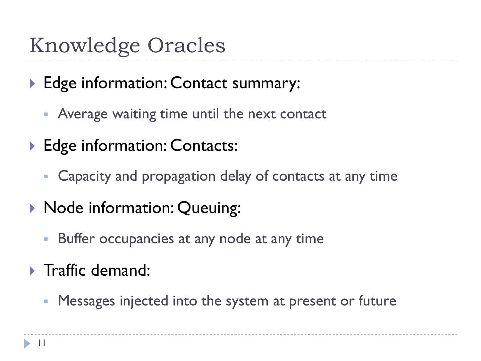### Knowledge Oracles

- ▶ Edge information: Contact summary:
	- Average waiting time until the next contact
- ▶ Edge information: Contacts:
	- Capacity and propagation delay of contacts at any time
- ▶ Node information: Queuing:
	- Buffer occupancies at any node at any time
- $\triangleright$  Traffic demand:
	- **Messages injected into the system at present or future**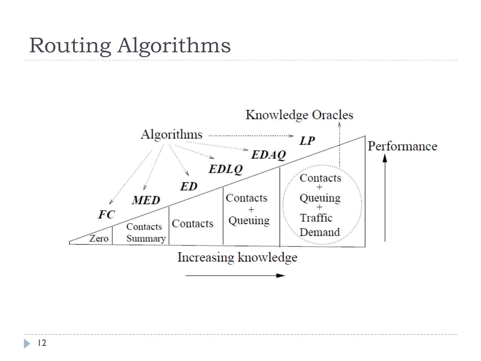### Routing Algorithms



ь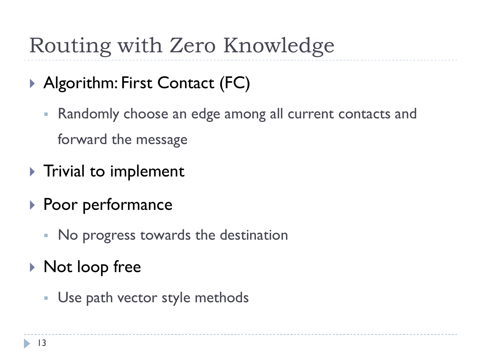# Routing with Zero Knowledge

- ▶ Algorithm: First Contact (FC)
	- Randomly choose an edge among all current contacts and forward the message
- $\blacktriangleright$  Trivial to implement
- ▶ Poor performance
	- No progress towards the destination
- ▶ Not loop free
	- **Use path vector style methods**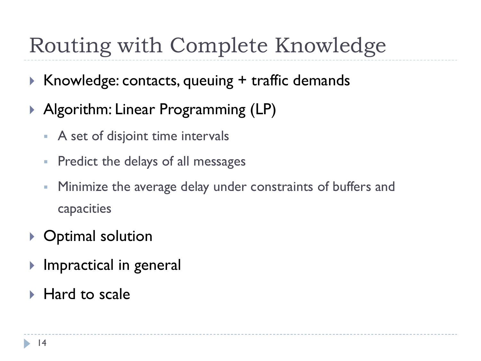# Routing with Complete Knowledge

- ▶ Knowledge: contacts, queuing + traffic demands
- ▶ Algorithm: Linear Programming (LP)
	- **A** set of disjoint time intervals
	- **Predict the delays of all messages**
	- Minimize the average delay under constraints of buffers and capacities
- ▶ Optimal solution
- **Impractical in general**
- ▶ Hard to scale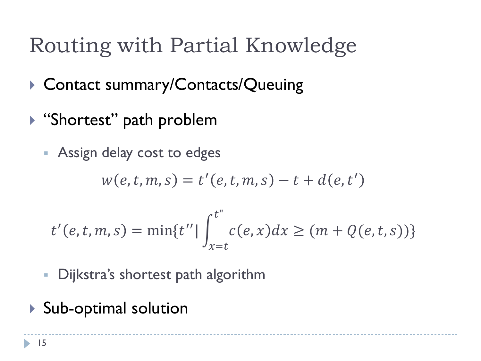# Routing with Partial Knowledge

- ▶ Contact summary/Contacts/Queuing
- ▶ "Shortest" path problem
	- Assign delay cost to edges

$$
w(e,t,m,s)=t'(e,t,m,s)-t+d(e,t')
$$

$$
t'(e, t, m, s) = \min\{t'' | \int_{x=t}^{t''} c(e, x) dx \ge (m + Q(e, t, s))\}
$$

- **Dijkstra's shortest path algorithm**
- ▶ Sub-optimal solution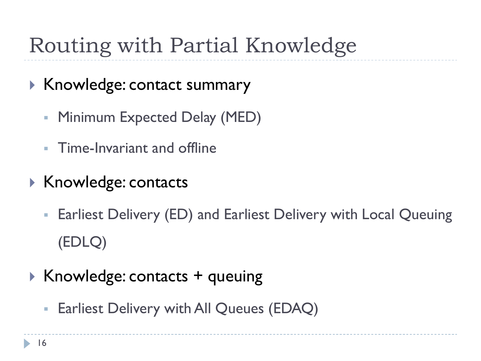# Routing with Partial Knowledge

- $\blacktriangleright$  Knowledge: contact summary
	- Minimum Expected Delay (MED)
	- **Time-Invariant and offline**
- $\triangleright$  Knowledge: contacts
	- Earliest Delivery (ED) and Earliest Delivery with Local Queuing (EDLQ)
- $\triangleright$  Knowledge: contacts + queuing
	- **Earliest Delivery with All Queues (EDAQ)**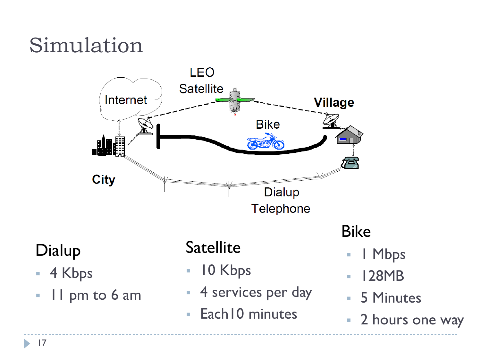# Simulation



#### Dialup

- 4 Kbps
- Il pm to 6 am

#### **Satellite**

- **10 Kbps**
- **4 services per day**
- **Each10 minutes**

#### Bike

- I Mbps
- 128MB
- 5 Minutes
- **2** hours one way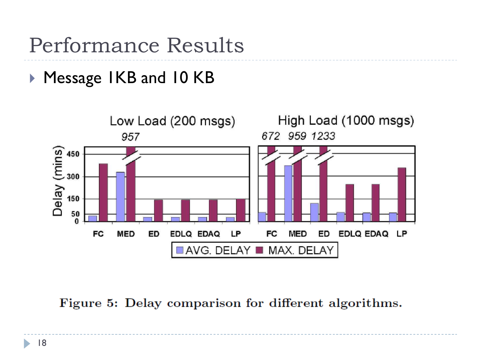Performance Results

▶ Message IKB and 10 KB



Figure 5: Delay comparison for different algorithms.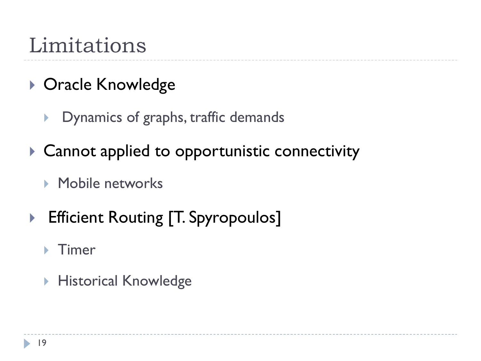### Limitations

- ▶ Oracle Knowledge
	- **Dynamics of graphs, traffic demands**
- ▶ Cannot applied to opportunistic connectivity
	- **Mobile networks**
- ▶ Efficient Routing [T. Spyropoulos]
	- Timer
	- ▶ Historical Knowledge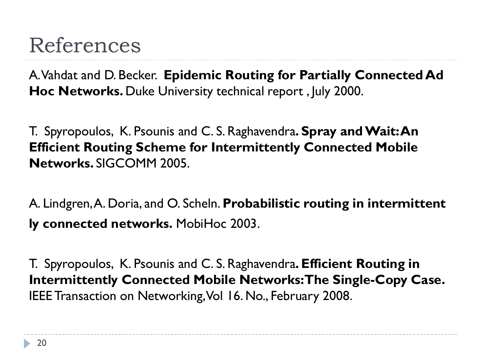#### References

A. Vahdat and D. Becker. **Epidemic Routing for Partially Connected Ad Hoc Networks.** Duke University technical report , July 2000.

T. Spyropoulos, K. Psounis and C. S. Raghavendra**. Spray and Wait: An Efficient Routing Scheme for Intermittently Connected Mobile Networks.** SIGCOMM 2005.

A. Lindgren, A. Doria, and O. Scheln. **Probabilistic routing in intermittent ly connected networks.** MobiHoc 2003.

T. Spyropoulos, K. Psounis and C. S. Raghavendra**. Efficient Routing in Intermittently Connected Mobile Networks: The Single-Copy Case.**  IEEE Transaction on Networking, Vol 16. No., February 2008.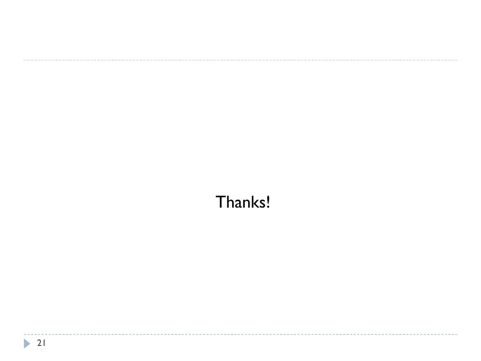#### Thanks!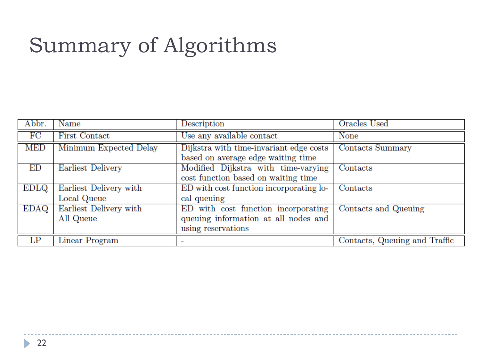# Summary of Algorithms

| Abbr. | Name                   | Description                             | Oracles Used                  |
|-------|------------------------|-----------------------------------------|-------------------------------|
| FC    | <b>First Contact</b>   | Use any available contact               | None                          |
| MED   | Minimum Expected Delay | Dijkstra with time-invariant edge costs | <b>Contacts Summary</b>       |
|       |                        | based on average edge waiting time      |                               |
| ED    | Earliest Delivery      | Modified Dijkstra with time-varying     | Contacts                      |
|       |                        | cost function based on waiting time     |                               |
| EDLQ  | Earliest Delivery with | ED with cost function incorporating lo- | Contacts                      |
|       | Local Queue            | cal queuing                             |                               |
| EDAQ  | Earliest Delivery with | ED with cost function incorporating     | Contacts and Queuing          |
|       | All Queue              | queuing information at all nodes and    |                               |
|       |                        | using reservations                      |                               |
| LP    | Linear Program         |                                         | Contacts, Queuing and Traffic |